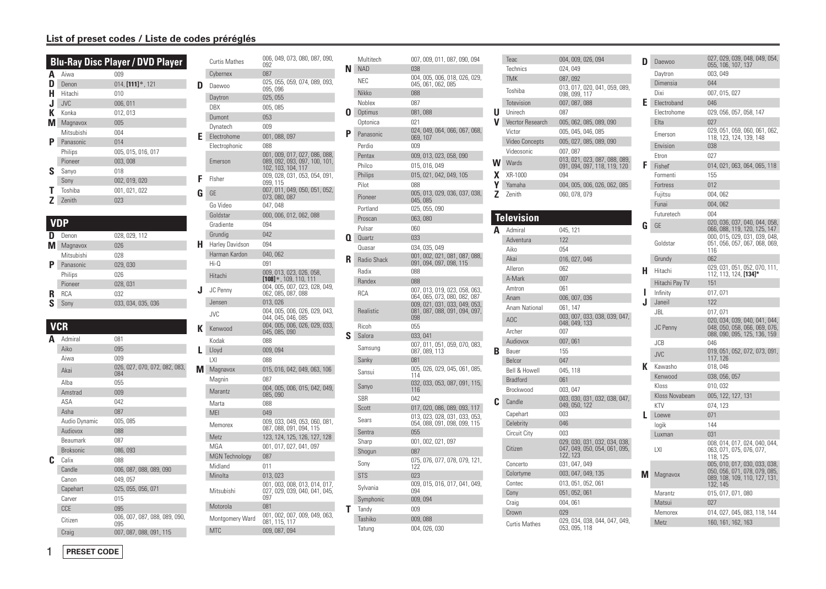## **List of preset codes / Liste de codes préréglés**

|   |               | <b>Blu-Ray Disc Player / DVD Player</b> |
|---|---------------|-----------------------------------------|
| Α | Aiwa          | 009                                     |
| D | Denon         | $014,$ [111] $*$ , 121                  |
| н | Hitachi       | 010                                     |
| J | JVC           | 006, 011                                |
| к | Konka         | 012, 013                                |
| м | Magnavox      | 005                                     |
|   | Mitsubishi    | 004                                     |
| Р | Panasonic     | 014                                     |
|   | Philips       | 005, 015, 016, 017                      |
|   | Pioneer       | 003,008                                 |
| ς | Sanyo         | 018                                     |
|   | Sony          | 002, 019, 020                           |
|   | Toshiba       | 001, 021, 022                           |
|   | <b>Zenith</b> | 023                                     |

## **VDP**

|   | Denon      | 028, 029, 112      |
|---|------------|--------------------|
|   | Magnavox   | 026                |
|   | Mitsubishi | 028                |
| Р | Panasonic  | 029,030            |
|   | Philips    | 026                |
|   | Pioneer    | 028, 031           |
| R | <b>RCA</b> | 032                |
| ς | Sonv       | 033, 034, 035, 036 |
|   |            |                    |

## **VCR**

| A | Admiral          | 081                                  |
|---|------------------|--------------------------------------|
|   | Aiko             | 095                                  |
|   | Aiwa             | 009                                  |
|   | Akai             | 026, 027, 070, 072, 082, 083,<br>084 |
|   | Alba             | 055                                  |
|   | Amstrad          | 009                                  |
|   | ASA              | 042                                  |
|   | Asha             | 087                                  |
|   | Audio Dynamic    | 005, 085                             |
|   | Audiovox         | 088                                  |
|   | <b>Beaumark</b>  | 087                                  |
|   | <b>Broksonic</b> | 086,093                              |
| c | Calix            | 088                                  |
|   | Candle           | 006, 087, 088, 089, 090              |
|   | Canon            | 049, 057                             |
|   | Capehart         | 025, 055, 056, 071                   |
|   | Carver           | 015                                  |
|   | CCE              | 095                                  |
|   | Citizen          | 006, 007, 087, 088, 089, 090,<br>095 |
|   | Craig            | 007, 087, 088, 091, 115              |

|   | <b>Curtis Mathes</b>  | 006, 049, 073, 080, 087, 090,<br>092                                                 |
|---|-----------------------|--------------------------------------------------------------------------------------|
|   | Cybernex              | 087                                                                                  |
| D | Daewoo                | 025, 055, 059, 074, 089, 093,<br>095,096                                             |
|   | Daytron               | 025,055                                                                              |
|   | DBX                   | 005, 085                                                                             |
|   | Dumont                | 053                                                                                  |
|   | Dynatech              | 009                                                                                  |
| Ε | Electrohome           | 001, 088, 097                                                                        |
|   | Electrophonic         | 088                                                                                  |
|   | Emerson               | 001, 009, 017, 027, 086, 088,<br>089, 092, 093, 097, 100, 101,<br>102, 103, 104, 117 |
| F | Fisher                | 009, 028, 031, 053, 054, 091,<br>099, 115                                            |
| G | GE                    | 007, 011, 049, 050, 051, 052,<br>073, 080, 087                                       |
|   | Go Video              | 047, 048                                                                             |
|   | Goldstar              | 000, 006, 012, 062, 088                                                              |
|   | Gradiente             | 094                                                                                  |
|   | Grundig               | 042                                                                                  |
| н | Harley Davidson       | 094                                                                                  |
|   | Harman Kardon         | 040,062                                                                              |
|   | $Hi-0$                | 091                                                                                  |
|   | Hitachi               | 009, 013, 023, 026, 058,<br>$[108]$ *, 109, 110, 111                                 |
| J | <b>JC Penny</b>       | 004, 005, 007, 023, 028, 049,<br>062, 085, 087, 088                                  |
|   | Jensen                | 013,026                                                                              |
|   | <b>JVC</b>            | 004, 005, 006, 026, 029, 043,<br>044, 045, 046, 085                                  |
| К | Kenwood               | 004, 005, 006, 026, 029, 033,<br>045, 085, 090                                       |
|   | Kodak                 | 088                                                                                  |
|   | Lloyd                 | 009,094                                                                              |
|   | LXI                   | 088                                                                                  |
| M | Magnavox              | 015, 016, 042, 049, 063, 106                                                         |
|   | Magnin                | 087<br>004, 005, 006, 015, 042, 049,                                                 |
|   | Marantz               | 085,090                                                                              |
|   | Marta                 | 088                                                                                  |
|   | MEI                   | 049                                                                                  |
|   | Memorex               | 009, 033, 049, 053, 060, 081,<br>087, 088, 091, 094, 115                             |
|   | Metz                  | 123, 124, 125, 126, 127, 128                                                         |
|   | MGA                   | 001, 017, 027, 041, 097                                                              |
|   | <b>MGN</b> Technology | 087                                                                                  |
|   | Midland               | 011                                                                                  |
|   | Minolta               | 013, 023                                                                             |
|   | Mitsubishi            | 001, 003, 008, 013, 014, 017,<br>027, 029, 039, 040, 041, 045,<br>097                |
|   | Motorola              | 081                                                                                  |
|   | Montgomery Ward       | 001, 002, 007, 009, 049, 063,<br>081, 115, 117                                       |
|   | <b>MTC</b>            | 009, 087, 094                                                                        |

|    | Multitech   | 007, 009, 011, 087, 090, 094                                   |
|----|-------------|----------------------------------------------------------------|
| N. | <b>NAD</b>  | 038                                                            |
|    | <b>NEC</b>  | 004, 005, 006, 018, 026, 029,<br>045, 061, 062, 085            |
|    | Nikko       | 088                                                            |
|    | Noblex      | 087                                                            |
| Ω  | Optimus     | 081,088                                                        |
|    | Optonica    | 021                                                            |
| P  | Panasonic   | 024, 049, 064, 066, 067, 068,<br>069, 107                      |
|    | Perdio      | 009                                                            |
|    | Pentax      | 009, 013, 023, 058, 090                                        |
|    | Philco      | 015, 016, 049                                                  |
|    | Philips     | 015, 021, 042, 049, 105                                        |
|    | Pilot       | 088                                                            |
|    | Pioneer     | 005, 013, 029, 036, 037, 038,<br>045, 085                      |
|    | Portland    | 025, 055, 090                                                  |
|    | Proscan     | 063,080                                                        |
|    | Pulsar      | 060                                                            |
| O. | Quartz      | 033                                                            |
|    | Quasar      | 034, 035, 049<br>001, 002, 021, 081, 087, 088,                 |
| R  | Radio Shack | 091, 094, 097, 098, 115                                        |
|    | Radix       | 088                                                            |
|    | Randex      | 088                                                            |
|    | <b>RCA</b>  | 007, 013, 019, 023, 058, 063,<br>064, 065, 073, 080, 082, 087  |
|    | Realistic   | 009, 021, 031, 033, 049, 053,<br>081, 087, 088, 091, 094, 097, |
|    |             | 098                                                            |
|    | Ricoh       | 055                                                            |
| S  | Salora      | 033, 041                                                       |
|    | Samsung     | 007, 011, 051, 059, 070, 083,<br>087, 089, 113                 |
|    | Sanky       | 081                                                            |
|    | Sansui      | 005, 026, 029, 045, 061, 085,<br>114                           |
|    | Sanyo       | 032, 033, 053, 087, 091, 115,<br>116                           |
|    | <b>SBR</b>  | 042                                                            |
|    | Scott       | 017, 020, 086, 089, 093, 117                                   |
|    | Sears       | 013, 023, 028, 031, 033, 053,<br>054, 088, 091, 098, 099, 115  |
|    | Sentra      | 055                                                            |
|    | Sharp       | 001, 002, 021, 097                                             |
|    | Shogun      | 087                                                            |
|    | Sony        | 075, 076, 077, 078, 079, 121,                                  |
|    | <b>STS</b>  | 122<br>023                                                     |
|    | Sylvania    | 009, 015, 016, 017, 041, 049,                                  |
|    | Symphonic   | 094<br>009, 094                                                |
| Τ  | Tandy       | 009                                                            |
|    | Tashiko     | 009,088                                                        |
|    | Tatung      | 004, 026, 030                                                  |

|   | Teac                  | 004, 009, 026, 094                                                         | D  | Dae             |
|---|-----------------------|----------------------------------------------------------------------------|----|-----------------|
|   | Technics              | 024, 049                                                                   |    |                 |
|   | <b>TMK</b>            | 087,092                                                                    |    | Day<br>Dim      |
|   | Toshiba               | 013, 017, 020, 041, 059, 089,<br>098, 099, 117                             |    | Dixi            |
|   | Totevision            | 007, 087, 088                                                              | Ε  | Eleo            |
| U | Unirech               | 087                                                                        |    | Elec            |
| V | Vecrtor Research      | 005, 062, 085, 089, 090                                                    |    | Elta            |
|   | Victor                | 005, 045, 046, 085                                                         |    | Eme             |
|   | <b>Video Concepts</b> | 005, 027, 085, 089, 090                                                    |    | Env             |
|   | Videosonic            | 007, 087                                                                   |    | Etro            |
| W | Wards                 | 013, 021, 023, 087, 088, 089,                                              | F  | Fish            |
| x | XR-1000               | 091, 094, 097, 118, 119, 120<br>094                                        |    | Forr            |
| γ | Yamaha                | 004, 005, 006, 026, 062, 085                                               |    | Fort            |
| Z | Zenith                | 060, 078, 079                                                              |    | Fuji            |
|   |                       |                                                                            |    | Fun             |
|   |                       |                                                                            |    | Fut             |
|   | <b>Television</b>     |                                                                            | G  | GE              |
| A | Admiral               | 045, 121                                                                   |    |                 |
|   | Adventura             | 122                                                                        |    | Gol             |
|   | Aiko                  | 054                                                                        |    |                 |
|   | Akai                  | 016, 027, 046                                                              |    | Gru             |
|   | Alleron               | 062                                                                        | н  | Hita            |
|   | A-Mark                | 007                                                                        |    | Hita            |
|   | Amtron                | 061                                                                        | ı  | Infir           |
|   | Anam                  | 006, 007, 036                                                              | J. | Jan             |
|   | Anam National         | 061, 147                                                                   |    | JBL             |
|   | AOC                   | 003, 007, 033, 038, 039, 047,<br>048, 049, 133                             |    |                 |
|   | Archer                | 007                                                                        |    | JC I            |
|   | Audiovox              | 007,061                                                                    |    | <b>JCE</b>      |
| в | Bauer                 | 155                                                                        |    | <b>JVC</b>      |
|   | Belcor                | 047                                                                        |    |                 |
|   | Bell & Howell         | 045, 118                                                                   | K  | Kav             |
|   | <b>Bradford</b>       | 061                                                                        |    | Ken             |
|   | Brockwood             | 003, 047                                                                   |    | Klo:<br>Klo:    |
| C | Candle                | 003, 030, 031, 032, 038, 047, 049, 050, 122                                |    | KTV             |
|   | Capehart              | 003                                                                        | L  | Loe             |
|   | Celebrity             | 046                                                                        |    | logi            |
|   | Circuit City          | 003                                                                        |    | Lux             |
|   | Citizen               | 029, 030, 031, 032, 034, 038,<br>047, 049, 050, 054, 061, 095,<br>122, 123 |    | LXI             |
|   | Concerto              | 031, 047, 049                                                              |    |                 |
|   | Colortyme             | 003, 047, 049, 135                                                         | М  | Ma              |
|   | Contec                | 013, 051, 052, 061                                                         |    |                 |
|   | Cony                  | 051, 052, 061                                                              |    | Ma              |
|   | Craig                 | 004, 061                                                                   |    | Ma <sup>®</sup> |
|   | Crown                 | 029                                                                        |    | Me              |
|   | <b>Curtis Mathes</b>  | 029, 034, 038, 044, 047, 049,<br>053, 095, 118                             |    | Me <sup>®</sup> |
|   |                       |                                                                            |    |                 |

| D | <b>Daewoo</b>  | 027, 029, 039, 048, 049, 054,<br>055, 106, 107, 137                                                         |
|---|----------------|-------------------------------------------------------------------------------------------------------------|
|   | Daytron        | 003,049                                                                                                     |
|   | Dimensia       | 044                                                                                                         |
|   | Dixi           | 007, 015, 027                                                                                               |
| F | Electroband    | 046                                                                                                         |
|   | Electrohome    | 029, 056, 057, 058, 147                                                                                     |
|   | Elta           | 027                                                                                                         |
|   | Emerson        | 029, 051, 059, 060, 061, 062,                                                                               |
|   | Envision       | 118, 123, 124, 139, 148<br>038                                                                              |
|   | Etron          | 027                                                                                                         |
| F | Fisher         | 014, 021, 063, 064, 065, 118                                                                                |
|   | Formenti       | 155                                                                                                         |
|   | Fortress       | 012                                                                                                         |
|   | Fujitsu        | 004,062                                                                                                     |
|   | Funai          | 004,062                                                                                                     |
|   | Futuretech     | 004                                                                                                         |
|   |                | 020, 036, 037, 040, 044, 058,                                                                               |
| G | GE             | 066, 088, 119, 120, 125, 147                                                                                |
|   |                | 000, 015, 029, 031, 039, 048,                                                                               |
|   | Goldstar       | 051, 056, 057, 067, 068, 069,<br>116                                                                        |
|   | Grundy         | 062                                                                                                         |
| н | Hitachi        | 029, 031, 051, 052, 070, 111,<br>112, 113, 124, [134]*                                                      |
|   | Hitachi Pay TV | 151                                                                                                         |
| ı | Infinity       | 017,071                                                                                                     |
| J | Janeil         | 122                                                                                                         |
|   | <b>JBL</b>     | 017,071                                                                                                     |
|   |                | 020, 034, 039, 040, 041, 044,                                                                               |
|   | JC Penny       | 048, 050, 058, 066, 069, 076,<br>088, 090, 095, 125, 136, 159                                               |
|   | <b>JCB</b>     | 046                                                                                                         |
|   | <b>JVC</b>     | 019, 051, 052, 072, 073, 091,                                                                               |
|   |                | 117, 126                                                                                                    |
| К | Kawasho        | 018, 046                                                                                                    |
|   | Kenwood        | 038, 056, 057                                                                                               |
|   | Kloss          | 010,032                                                                                                     |
|   | Kloss Novabeam | 005, 122, 127, 131                                                                                          |
|   | KTV            | 074, 123                                                                                                    |
| L | Loewe          | 071                                                                                                         |
|   | logik          | 144                                                                                                         |
|   | Luxman         | 031<br>008, 014, 017, 024, 040, 044,                                                                        |
|   | LXI            | 063, 071, 075, 076, 077,<br>118, 125                                                                        |
| M | Magnavox       | 005, 010, 017, 030, 033, 038,<br>050, 056, 071, 078, 079, 085,<br>089, 108, 109, 110, 127, 131,<br>132, 145 |
|   | Marantz        | 015, 017, 071, 080                                                                                          |
|   | Matsui         | 027                                                                                                         |
|   | Memorex        | 014, 027, 045, 083, 118, 144                                                                                |
|   | Metz           | 160, 161, 162, 163                                                                                          |
|   |                |                                                                                                             |